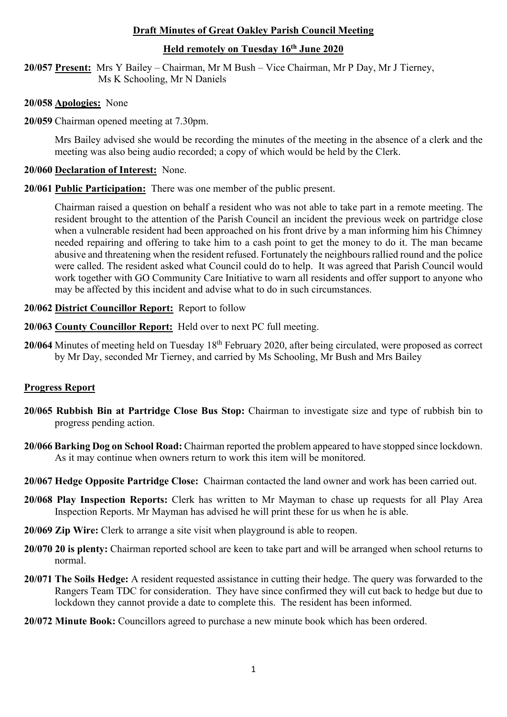## **Draft Minutes of Great Oakley Parish Council Meeting**

## **Held remotely on Tuesday 16th June 2020**

**20/057 Present:** Mrs Y Bailey – Chairman, Mr M Bush – Vice Chairman, Mr P Day, Mr J Tierney, Ms K Schooling, Mr N Daniels

- **20/058 Apologies:** None
- **20/059** Chairman opened meeting at 7.30pm.

Mrs Bailey advised she would be recording the minutes of the meeting in the absence of a clerk and the meeting was also being audio recorded; a copy of which would be held by the Clerk.

## **20/060 Declaration of Interest:** None.

**20/061 Public Participation:** There was one member of the public present.

Chairman raised a question on behalf a resident who was not able to take part in a remote meeting. The resident brought to the attention of the Parish Council an incident the previous week on partridge close when a vulnerable resident had been approached on his front drive by a man informing him his Chimney needed repairing and offering to take him to a cash point to get the money to do it. The man became abusive and threatening when the resident refused. Fortunately the neighbours rallied round and the police were called. The resident asked what Council could do to help. It was agreed that Parish Council would work together with GO Community Care Initiative to warn all residents and offer support to anyone who may be affected by this incident and advise what to do in such circumstances.

# **20/062 District Councillor Report:** Report to follow

- **20/063 County Councillor Report:** Held over to next PC full meeting.
- 20/064 Minutes of meeting held on Tuesday 18<sup>th</sup> February 2020, after being circulated, were proposed as correct by Mr Day, seconded Mr Tierney, and carried by Ms Schooling, Mr Bush and Mrs Bailey

## **Progress Report**

- **20/065 Rubbish Bin at Partridge Close Bus Stop:** Chairman to investigate size and type of rubbish bin to progress pending action.
- **20/066 Barking Dog on School Road:** Chairman reported the problem appeared to have stopped since lockdown. As it may continue when owners return to work this item will be monitored.
- **20/067 Hedge Opposite Partridge Close:** Chairman contacted the land owner and work has been carried out.
- **20/068 Play Inspection Reports:** Clerk has written to Mr Mayman to chase up requests for all Play Area Inspection Reports. Mr Mayman has advised he will print these for us when he is able.
- **20/069 Zip Wire:** Clerk to arrange a site visit when playground is able to reopen.
- **20/070 20 is plenty:** Chairman reported school are keen to take part and will be arranged when school returns to normal.
- **20/071 The Soils Hedge:** A resident requested assistance in cutting their hedge. The query was forwarded to the Rangers Team TDC for consideration. They have since confirmed they will cut back to hedge but due to lockdown they cannot provide a date to complete this. The resident has been informed.
- **20/072 Minute Book:** Councillors agreed to purchase a new minute book which has been ordered.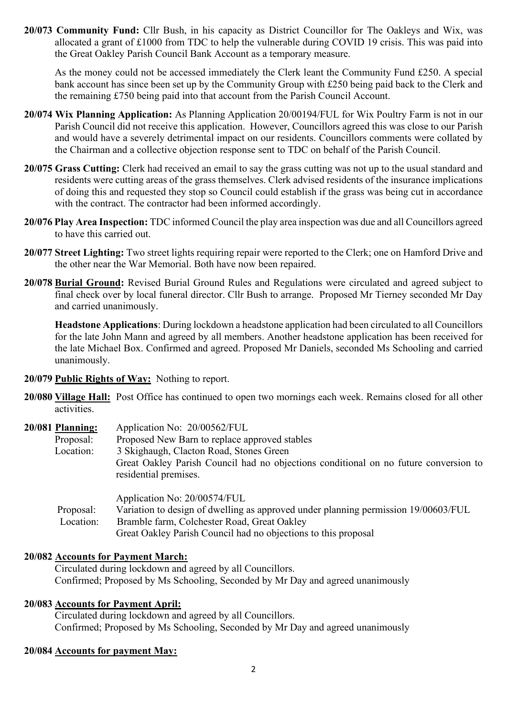**20/073 Community Fund:** Cllr Bush, in his capacity as District Councillor for The Oakleys and Wix, was allocated a grant of £1000 from TDC to help the vulnerable during COVID 19 crisis. This was paid into the Great Oakley Parish Council Bank Account as a temporary measure.

As the money could not be accessed immediately the Clerk leant the Community Fund £250. A special bank account has since been set up by the Community Group with £250 being paid back to the Clerk and the remaining £750 being paid into that account from the Parish Council Account.

- **20/074 Wix Planning Application:** As Planning Application 20/00194/FUL for Wix Poultry Farm is not in our Parish Council did not receive this application. However, Councillors agreed this was close to our Parish and would have a severely detrimental impact on our residents. Councillors comments were collated by the Chairman and a collective objection response sent to TDC on behalf of the Parish Council.
- **20/075 Grass Cutting:** Clerk had received an email to say the grass cutting was not up to the usual standard and residents were cutting areas of the grass themselves. Clerk advised residents of the insurance implications of doing this and requested they stop so Council could establish if the grass was being cut in accordance with the contract. The contractor had been informed accordingly.
- **20/076 Play Area Inspection:** TDC informed Council the play area inspection was due and all Councillors agreed to have this carried out.
- **20/077 Street Lighting:** Two street lights requiring repair were reported to the Clerk; one on Hamford Drive and the other near the War Memorial. Both have now been repaired.
- **20/078 Burial Ground:** Revised Burial Ground Rules and Regulations were circulated and agreed subject to final check over by local funeral director. Cllr Bush to arrange. Proposed Mr Tierney seconded Mr Day and carried unanimously.

**Headstone Applications**: During lockdown a headstone application had been circulated to all Councillors for the late John Mann and agreed by all members. Another headstone application has been received for the late Michael Box. Confirmed and agreed. Proposed Mr Daniels, seconded Ms Schooling and carried unanimously.

- **20/079 Public Rights of Way:** Nothing to report.
- **20/080 Village Hall:** Post Office has continued to open two mornings each week. Remains closed for all other activities.

| 20/081 Planning: | Application No: 20/00562/FUL                                                                                  |
|------------------|---------------------------------------------------------------------------------------------------------------|
| Proposal:        | Proposed New Barn to replace approved stables                                                                 |
| Location:        | 3 Skighaugh, Clacton Road, Stones Green                                                                       |
|                  | Great Oakley Parish Council had no objections conditional on no future conversion to<br>residential premises. |
|                  | Application No: 20/00574/FUL                                                                                  |
| Proposal:        | Variation to design of dwelling as approved under planning permission 19/00603/FUL                            |
| Location:        | Bramble farm, Colchester Road, Great Oakley                                                                   |

Great Oakley Parish Council had no objections to this proposal

## **20/082 Accounts for Payment March:**

 Circulated during lockdown and agreed by all Councillors. Confirmed; Proposed by Ms Schooling, Seconded by Mr Day and agreed unanimously

## **20/083 Accounts for Payment April:**

Circulated during lockdown and agreed by all Councillors. Confirmed; Proposed by Ms Schooling, Seconded by Mr Day and agreed unanimously

## **20/084 Accounts for payment May:**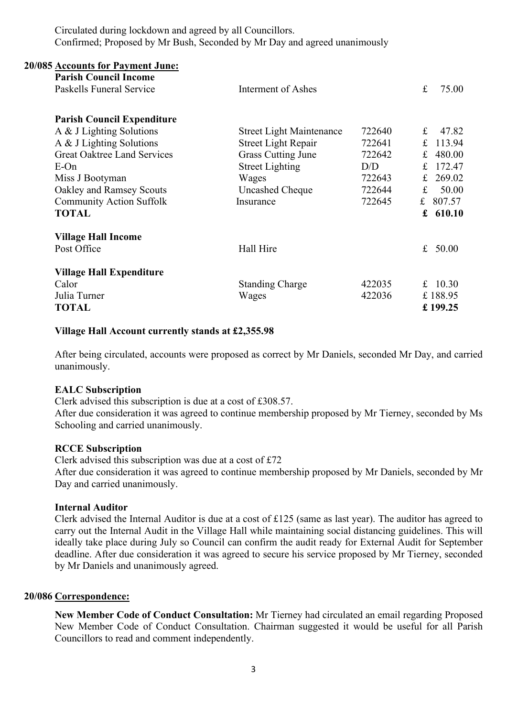Circulated during lockdown and agreed by all Councillors. Confirmed; Proposed by Mr Bush, Seconded by Mr Day and agreed unanimously

| <b>20/085 Accounts for Payment June:</b>                 |                                 |        |             |            |
|----------------------------------------------------------|---------------------------------|--------|-------------|------------|
| <b>Parish Council Income</b><br>Paskells Funeral Service | Interment of Ashes              |        | f           | 75.00      |
| <b>Parish Council Expenditure</b>                        |                                 |        |             |            |
| A & J Lighting Solutions                                 | <b>Street Light Maintenance</b> | 722640 | $f_{\rm L}$ | 47.82      |
| A & J Lighting Solutions                                 | <b>Street Light Repair</b>      | 722641 | £           | 113.94     |
| <b>Great Oaktree Land Services</b>                       | <b>Grass Cutting June</b>       | 722642 | £           | 480.00     |
| $E$ -On                                                  | <b>Street Lighting</b>          | D/D    | £           | 172.47     |
| Miss J Bootyman                                          | Wages                           | 722643 | £           | 269.02     |
| Oakley and Ramsey Scouts                                 | <b>Uncashed Cheque</b>          | 722644 | £           | 50.00      |
| <b>Community Action Suffolk</b>                          | Insurance                       | 722645 |             | £ $807.57$ |
| <b>TOTAL</b>                                             |                                 |        |             | £ $610.10$ |
| <b>Village Hall Income</b>                               |                                 |        |             |            |
| Post Office                                              | Hall Hire                       |        | £           | 50.00      |
| <b>Village Hall Expenditure</b>                          |                                 |        |             |            |
| Calor                                                    | <b>Standing Charge</b>          | 422035 |             | £ $10.30$  |
| Julia Turner                                             | Wages                           | 422036 |             | £188.95    |
| <b>TOTAL</b>                                             |                                 |        |             | £199.25    |

#### **Village Hall Account currently stands at £2,355.98**

After being circulated, accounts were proposed as correct by Mr Daniels, seconded Mr Day, and carried unanimously.

#### **EALC Subscription**

Clerk advised this subscription is due at a cost of £308.57.

After due consideration it was agreed to continue membership proposed by Mr Tierney, seconded by Ms Schooling and carried unanimously.

#### **RCCE Subscription**

Clerk advised this subscription was due at a cost of £72 After due consideration it was agreed to continue membership proposed by Mr Daniels, seconded by Mr Day and carried unanimously.

#### **Internal Auditor**

Clerk advised the Internal Auditor is due at a cost of £125 (same as last year). The auditor has agreed to carry out the Internal Audit in the Village Hall while maintaining social distancing guidelines. This will ideally take place during July so Council can confirm the audit ready for External Audit for September deadline. After due consideration it was agreed to secure his service proposed by Mr Tierney, seconded by Mr Daniels and unanimously agreed.

#### **20/086 Correspondence:**

**New Member Code of Conduct Consultation:** Mr Tierney had circulated an email regarding Proposed New Member Code of Conduct Consultation. Chairman suggested it would be useful for all Parish Councillors to read and comment independently.